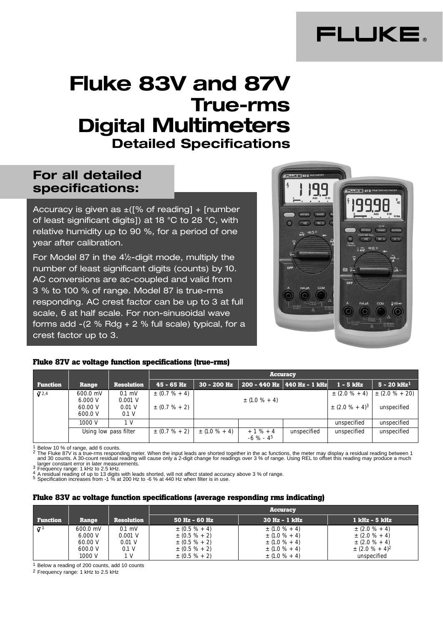

# **Fluke 83V and 87V True-rms Digital Multimeters Detailed Specifications**

# **For all detailed specifications:**

Accuracy is given as  $\pm$  ([% of reading] + [number of least significant digits]) at 18 °C to 28 °C, with relative humidity up to 90 %, for a period of one year after calibration.

For Model 87 in the 4<sup>1</sup>/2-digit mode, multiply the number of least significant digits (counts) by 10. AC conversions are ac-coupled and valid from 3 % to 100 % of range. Model 87 is true-rms responding. AC crest factor can be up to 3 at full scale, 6 at half scale. For non-sinusoidal wave forms add  $-(2 % Rdg + 2 % full scale)$  typical, for a crest factor up to 3.



#### **Fluke 87V ac voltage function specifications (true-rms)**

|                   |                                           |                                            |                                          | <b>Accuracy</b>   |                            |                               |                                                      |                                    |
|-------------------|-------------------------------------------|--------------------------------------------|------------------------------------------|-------------------|----------------------------|-------------------------------|------------------------------------------------------|------------------------------------|
| <b>Function</b>   | Range                                     | <b>Resolution</b>                          | $45 - 65$ Hz                             | $30 - 200$ Hz     |                            | 200 - 440 Hz   440 Hz - 1 kHz | $1 - 5$ kHz                                          | $5 - 20$ kHz <sup>1</sup>          |
| $\tilde{v}^{2,4}$ | 600.0 mV<br>6.000 V<br>60.00 V<br>600.0 V | $0.1$ mV<br>$0.001$ V<br>$0.01$ V<br>0.1 V | $\pm (0.7 \% + 4)$<br>$\pm (0.7 \% + 2)$ |                   | $\pm$ (1.0 % + 4)          |                               | $\pm (2.0 \% + 4)$<br>$\pm$ (2.0 % + 4) <sup>3</sup> | $\pm (2.0 \% + 20)$<br>unspecified |
|                   | 1000 V                                    | 1 V                                        |                                          |                   |                            |                               | unspecified                                          | unspecified                        |
|                   |                                           | Using low pass filter                      | $\pm (0.7 \% + 2)$                       | $\pm$ (1.0 % + 4) | $+1\% + 4$<br>$-6 \% - 45$ | unspecified                   | unspecified                                          | unspecified                        |

<sup>1</sup> Below 10 % of range, add 6 counts.<br><sup>2</sup> The Fluke 87V is a true-rms responding meter. When the input leads are shorted together in the ac functions, the meter may display a residual reading between 1<br>and 30 counts. A 30 larger constant error in later measurements.<br>
The wave the process of the constant error in later measurements.<br>
The process of the 11 state of 11 state and the state accuracy above 3 % of range.<br>
The side of up to 13 digi

#### **Fluke 83V ac voltage function specifications (average responding rms indicating)**

|                 |                                                     |                                                   |                                                                                                            | <b>Accuracy</b>                                                                                       |                                                                                                              |
|-----------------|-----------------------------------------------------|---------------------------------------------------|------------------------------------------------------------------------------------------------------------|-------------------------------------------------------------------------------------------------------|--------------------------------------------------------------------------------------------------------------|
| <b>Function</b> | Range                                               | <b>Resolution</b>                                 | $50$ Hz - 60 Hz                                                                                            | $30$ Hz $-1$ kHz                                                                                      | . 1 kHz - 5 kHz '                                                                                            |
| $\tilde{u}^1$   | 600.0 mV<br>6.000 V<br>60.00 V<br>600.0 V<br>1000 V | $0.1$ mV<br>$0.001$ V<br>$0.01$ V<br>0.1 V<br>1 V | $\pm (0.5 \% + 4)$<br>$\pm (0.5 \% + 2)$<br>$\pm (0.5 \% + 2)$<br>$\pm (0.5 \% + 2)$<br>$\pm (0.5 \% + 2)$ | $\pm$ (1.0 % + 4)<br>$\pm$ (1.0 % + 4)<br>$\pm$ (1.0 % + 4)<br>$\pm$ (1.0 % + 4)<br>$\pm$ (1.0 % + 4) | $\pm$ (2.0 % + 4)<br>$\pm$ (2.0 % + 4)<br>$\pm$ (2.0 % + 4)<br>$\pm$ (2.0 % + 4) <sup>2</sup><br>unspecified |

1 Below a reading of 200 counts, add 10 counts

2 Frequency range: 1 kHz to 2.5 kHz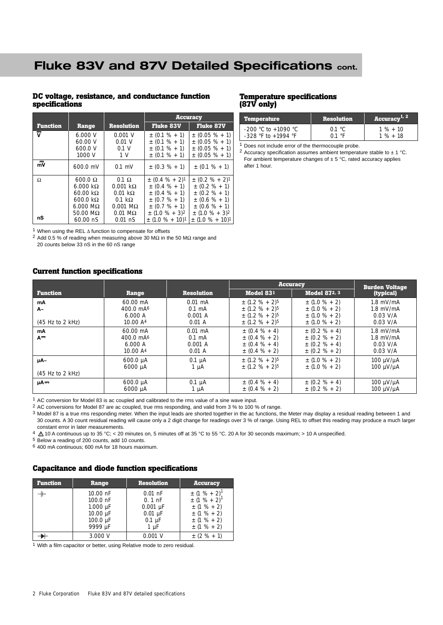# **Fluke 83V and 87V Detailed Specifications cont.**

#### **DC voltage, resistance, and conductance function specifications**

|                           |                                                                                                                                               |                                                                                                                                             |                                                                                                                                                      | <b>Accuracy</b>                                                                                                                            |
|---------------------------|-----------------------------------------------------------------------------------------------------------------------------------------------|---------------------------------------------------------------------------------------------------------------------------------------------|------------------------------------------------------------------------------------------------------------------------------------------------------|--------------------------------------------------------------------------------------------------------------------------------------------|
| <b>Function</b>           | Range                                                                                                                                         | <b>Resolution</b>                                                                                                                           | <b>Fluke 83V</b>                                                                                                                                     | <b>Fluke 87V</b>                                                                                                                           |
| ⊽                         | 6.000 V<br>60.00 V<br>600.0 V<br>1000 V                                                                                                       | $0.001$ V<br>$0.01$ V<br>0.1 V<br>1 V                                                                                                       | $\pm$ (0.1 % + 1)<br>$\pm$ (0.1 % + 1)<br>$\pm$ (0.1 % + 1)<br>$\pm$ (0.1 % + 1)                                                                     | $\pm$ (0.05 % + 1)<br>$\pm$ (0.05 % + 1)<br>$\pm$ (0.05 % + 1)<br>$\pm$ (0.05 % + 1)                                                       |
| $\overline{\overline{m}}$ | 600.0 mV                                                                                                                                      | $0.1$ mV                                                                                                                                    | $\pm$ (0.3 % + 1)                                                                                                                                    | $\pm$ (0.1 % + 1)                                                                                                                          |
| Ω                         | $600.0 \Omega$<br>$6.000 k\Omega$<br>$60.00 \text{ k}\Omega$<br>$600.0 \text{ k}\Omega$<br>$6.000 \text{ M}\Omega$<br>$50.00 \text{ M}\Omega$ | $0.1 \Omega$<br>$0.001 k\Omega$<br>$0.01 \text{ k}\Omega$<br>$0.1 \; \mathrm{k}\Omega$<br>$0.001 \text{ M}\Omega$<br>$0.01 \text{ M}\Omega$ | $\pm$ (0.4 % + 2) <sup>1</sup><br>$\pm$ (0.4 % + 1)<br>$\pm$ (0.4 % + 1)<br>$\pm$ (0.7 % + 1)<br>$\pm$ (0.7 % + 1)<br>$\pm$ (1.0 % + 3) <sup>2</sup> | $\pm (0.2 \% + 2)^1$<br>$\pm$ (0.2 % + 1)<br>$\pm$ (0.2 % + 1)<br>$\pm$ (0.6 % + 1)<br>$\pm$ (0.6 % + 1)<br>$\pm$ (1.0 % + 3) <sup>2</sup> |
| nS                        | $60.00 \text{ nS}$                                                                                                                            | $0.01$ nS                                                                                                                                   | $\pm$ (1.0 % + 10) <sup>1</sup>                                                                                                                      | $\pm$ (1.0 % + 10) <sup>1</sup>                                                                                                            |

1 When using the REL ∆ function to compensate for offsets

<sup>2</sup> Add 0.5 % of reading when measuring above 30 MΩ in the 50 MΩ range and 20 counts below 33 nS in the 60 nS range

#### **Current function specifications**

#### **Temperature specifications (87V only)**

| Temperature             | <b>Resolution</b>       | Accuracy <sup>1, 2</sup> |
|-------------------------|-------------------------|--------------------------|
| -200 °C to +1090 °C     | $0.1 \text{ }^{\circ}C$ | $1\% + 10$               |
| $-328$ °F to $+1994$ °F | 0.1 °F                  | $1\% + 18$               |

1 Does not include error of the thermocouple probe.

<sup>2</sup> Accuracy specification assumes ambient temperature stable to  $\pm$  1 °C. For ambient temperature changes of  $\pm$  5 °C, rated accuracy applies after 1 hour.

|                                                 |                                                                    |                                                   | <b>Accuracy</b>                                                                                                                      |                                                                                    | <b>Burden Voltage</b>                                  |
|-------------------------------------------------|--------------------------------------------------------------------|---------------------------------------------------|--------------------------------------------------------------------------------------------------------------------------------------|------------------------------------------------------------------------------------|--------------------------------------------------------|
| <b>Function</b>                                 | Range                                                              | <b>Resolution</b>                                 | Model 831                                                                                                                            | <b>Model 872, 3</b>                                                                | (typical)                                              |
| mA<br>A~<br>$(45 \text{ Hz to } 2 \text{ kHz})$ | 60.00 mA<br>$400.0 \text{ mA}^6$<br>6.000A<br>10.00A <sup>4</sup>  | $0.01$ mA<br>$0.1 \text{ mA}$<br>0.001A<br>0.01 A | $\pm$ (1.2 % + 2) <sup>5</sup><br>$\pm$ (1.2 % + 2) <sup>5</sup><br>$\pm$ (1.2 % + 2) <sup>5</sup><br>$\pm$ (1.2 % + 2) <sup>5</sup> | $\pm$ (1.0 % + 2)<br>$\pm$ (1.0 % + 2)<br>$\pm$ (1.0 % + 2)<br>$\pm$ (1.0 % + 2)   | $1.8$ mV/mA<br>$1.8$ mV/mA<br>$0.03$ V/A<br>$0.03$ V/A |
| mA<br>$A^{\frac{m}{m}}$                         | 60.00 mA<br>$400.0 \text{ mA}^6$<br>6.000A<br>10.00 A <sup>4</sup> | $0.01$ mA<br>$0.1 \text{ mA}$<br>0.001A<br>0.01 A | $\pm$ (0.4 % + 4)<br>$\pm (0.4 % + 2)$<br>$\pm (0.4 \% + 4)$<br>$\pm (0.4 % + 2)$                                                    | $\pm$ (0.2 % + 4)<br>$\pm$ (0.2 % + 2)<br>$\pm (0.2 \% + 4)$<br>$\pm (0.2 \% + 2)$ | $1.8$ mV/mA<br>$1.8$ mV/mA<br>$0.03$ V/A<br>$0.03$ V/A |
| µA∼<br>$(45 \text{ Hz to } 2 \text{ kHz})$      | $600.0 \mu A$<br>$6000 \mu A$                                      | $0.1 \mu A$<br>$1 \mu A$                          | $\pm$ (1.2 % + 2) <sup>5</sup><br>$\pm$ (1.2 % + 2) <sup>5</sup>                                                                     | $\pm$ (1.0 % + 2)<br>$\pm$ (1.0 % + 2)                                             | $100 \mu V/\mu A$<br>100 μ $V/\mu$ A                   |
| uA=                                             | $600.0 \mu A$<br>$6000 \mu A$                                      | $0.1 \mu A$<br>$1 \mu A$                          | $\pm$ (0.4 % + 4)<br>$\pm (0.4 % + 2)$                                                                                               | $\pm (0.2 \% + 4)$<br>$\pm (0.2 \% + 2)$                                           | $100 \mu V/\mu A$<br>100 μ $V/\mu$ A                   |

1 AC conversion for Model 83 is ac coupled and calibrated to the rms value of a sine wave input.

2 AC conversions for Model 87 are ac coupled, true rms responding, and valid from 3 % to 100 % of range.

3 Model 87 is a true rms responding meter. When the input leads are shorted together in the ac functions, the Meter may display a residual reading between 1 and 30 counts. A 30 count residual reading will cause only a 2 digit change for readings over 3 % of range. Using REL to offset this reading may produce a much larger constant error in later measurements.

4  $\triangle$  10 A continuous up to 35 °C; < 20 minutes on, 5 minutes off at 35 °C to 55 °C. 20 A for 30 seconds maximum; > 10 A unspecified.

5 Below a reading of 200 counts, add 10 counts.

6 400 mA continuous; 600 mA for 18 hours maximum.

#### **Capacitance and diode function specifications**

| <b>Function</b> | Range         | <b>Resolution</b> | <b>Accuracy</b>     |
|-----------------|---------------|-------------------|---------------------|
|                 | $10.00$ nF    | $0.01$ nF         | $\pm (1 \% + 2)^1$  |
|                 | $100.0$ nF    | $0.1$ nF          | $\pm (1\% + 2)^{1}$ |
|                 | $1.000 \mu F$ | $0.001 \mu F$     | $\pm$ (1 % + 2)     |
|                 | $10.00 \mu F$ | $0.01 \mu F$      | $\pm$ (1 % + 2)     |
|                 | $100.0 \mu F$ | $0.1 \mu F$       | $\pm$ (1 % + 2)     |
|                 | 9999 µF       | $1 \mu F$         | $\pm$ (1 % + 2)     |
|                 | 3.000V        | $0.001$ V         | $\pm$ (2 % + 1)     |

1 With a film capacitor or better, using Relative mode to zero residual.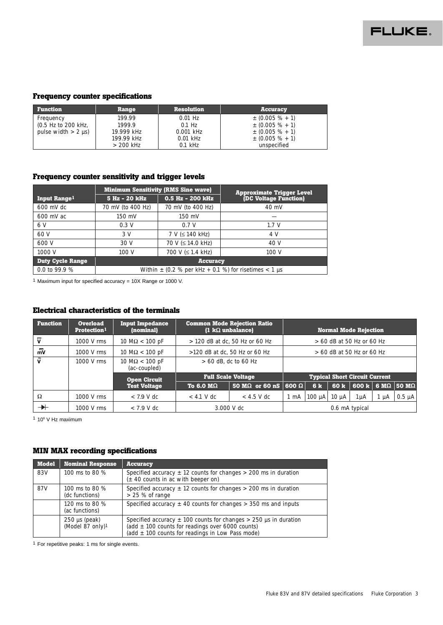

### **Frequency counter specifications**

| <b>Function</b>           | Range       | <b>Resolution</b> | <b>Accuracy</b>     |
|---------------------------|-------------|-------------------|---------------------|
| Frequency                 | 199.99      | $0.01$ Hz         | $\pm$ (0.005 % + 1) |
| $(0.5$ Hz to 200 kHz,     | 1999.9      | $0.1$ Hz          | $\pm$ (0.005 % + 1) |
| pulse width $> 2 \mu s$ ) | 19.999 kHz  | $0.001$ kHz       | $\pm$ (0.005 % + 1) |
|                           | 199.99 kHz  | $0.01$ kHz        | $\pm$ (0.005 % + 1) |
|                           | $> 200$ kHz | $0.1$ kHz         | unspecified         |

### **Frequency counter sensitivity and trigger levels**

|                          |                                                           | <b>Minimum Sensitivity (RMS Sine wave)</b> |                                                           |  |  |
|--------------------------|-----------------------------------------------------------|--------------------------------------------|-----------------------------------------------------------|--|--|
| Input Range <sup>1</sup> | 5 Hz - 20 kHz                                             | 0.5 Hz - 200 kHz                           | <b>Approximate Trigger Level</b><br>(DC Voltage Function) |  |  |
| $600$ mV dc              | 70 mV (to 400 Hz)                                         | 70 mV (to 400 Hz)                          | $40 \text{ mV}$                                           |  |  |
| $600$ mV ac              | $150$ mV                                                  | 150 mV                                     |                                                           |  |  |
| 6 V                      | 0.3V                                                      | 0.7 V                                      | 1.7V                                                      |  |  |
| 60 V                     | 3V                                                        | $7 V \le 140 kHz$                          | 4 V                                                       |  |  |
| 600 V                    | 30 V                                                      | 70 V $(\leq 14.0 \text{ kHz})$             | 40 V                                                      |  |  |
| 1000 V                   | 100V                                                      | 700 V $(\leq 1.4$ kHz)                     | 100V                                                      |  |  |
| <b>Duty Cycle Range</b>  |                                                           | <b>Accuracy</b>                            |                                                           |  |  |
| 0.0 to 99.9 $%$          | Within $\pm$ (0.2 % per kHz + 0.1 %) for risetimes < 1 µs |                                            |                                                           |  |  |

1 Maximum input for specified accuracy = 10X Range or 1000 V.

## **Electrical characteristics of the terminals**

| <b>Function</b>             | <b>Overload</b><br>Protection <sup>1</sup> | <b>Input Impedance</b><br>(nominal)   | <b>Common Mode Rejection Ratio</b><br>$(1 \text{ k}\Omega \text{ unbalance})$<br><b>Normal Mode Rejection</b> |                                     |      |                             |            |                                      |           |                                  |
|-----------------------------|--------------------------------------------|---------------------------------------|---------------------------------------------------------------------------------------------------------------|-------------------------------------|------|-----------------------------|------------|--------------------------------------|-----------|----------------------------------|
| ₩                           | 1000 V rms                                 | $10 M\Omega < 100 pF$                 | $> 120$ dB at dc, 50 Hz or 60 Hz                                                                              |                                     |      |                             |            | $> 60$ dB at 50 Hz or 60 Hz          |           |                                  |
| $\overline{\overline{m}}$ v | 1000 V rms                                 | $10 M\Omega < 100 pF$                 | $>120$ dB at dc, 50 Hz or 60 Hz                                                                               |                                     |      | $> 60$ dB at 50 Hz or 60 Hz |            |                                      |           |                                  |
| ũ                           | 1000 V rms                                 | $10 M\Omega < 100 pF$<br>(ac-coupled) |                                                                                                               | $> 60$ dB, dc to 60 Hz              |      |                             |            |                                      |           |                                  |
|                             |                                            | <b>Open Circuit</b>                   |                                                                                                               | <b>Full Scale Voltage</b>           |      |                             |            | <b>Typical Short Circuit Current</b> |           |                                  |
|                             |                                            | <b>Test Voltage</b>                   | To 6.0 $\text{M}\Omega$                                                                                       | 50 M $\Omega$ or 60 nS 600 $\Omega$ |      | 6k                          | 60 k       |                                      |           | 600 k 6 M $\Omega$ 50 M $\Omega$ |
| Ω                           | $1000 \text{ V}$ rms                       | $<$ 7.9 V dc                          | $< 4.1$ V dc                                                                                                  | $< 4.5$ V dc                        | 1 mA | $100 \mu A$                 | $10 \mu A$ | $1 \mu A$                            | $1 \mu A$ | $0.5 \mu A$                      |
|                             | 1000 V rms                                 | $< 7.9$ V dc                          |                                                                                                               | 3.000 V dc                          |      |                             |            | 0.6 mA typical                       |           |                                  |

1 106 V Hz maximum

### **MIN MAX recording specifications**

| <b>Model</b>    | <b>Nominal Response</b>                   | <b>Accuracy</b>                                                                                                                                                                                       |
|-----------------|-------------------------------------------|-------------------------------------------------------------------------------------------------------------------------------------------------------------------------------------------------------|
| 83V             | 100 ms to 80 $%$                          | Specified accuracy $\pm$ 12 counts for changes $>$ 200 ms in duration<br>$(\pm 40$ counts in ac with beeper on)                                                                                       |
| 87 <sub>V</sub> | 100 ms to 80 $\%$<br>(dc functions)       | Specified accuracy $\pm$ 12 counts for changes $>$ 200 ms in duration<br>$> 25 %$ of range                                                                                                            |
|                 | 120 ms to 80 $%$<br>(ac functions)        | Specified accuracy $\pm$ 40 counts for changes $>$ 350 ms and inputs                                                                                                                                  |
|                 | $250 \mu s$ (peak)<br>(Model 87 only) $1$ | Specified accuracy $\pm$ 100 counts for changes $>$ 250 µs in duration<br>(add $\pm$ 100 counts for readings over 6000 counts)<br>$(\text{add} \pm 100 \text{ counts for readings in Low Pass mode})$ |

1 For repetitive peaks: 1 ms for single events.